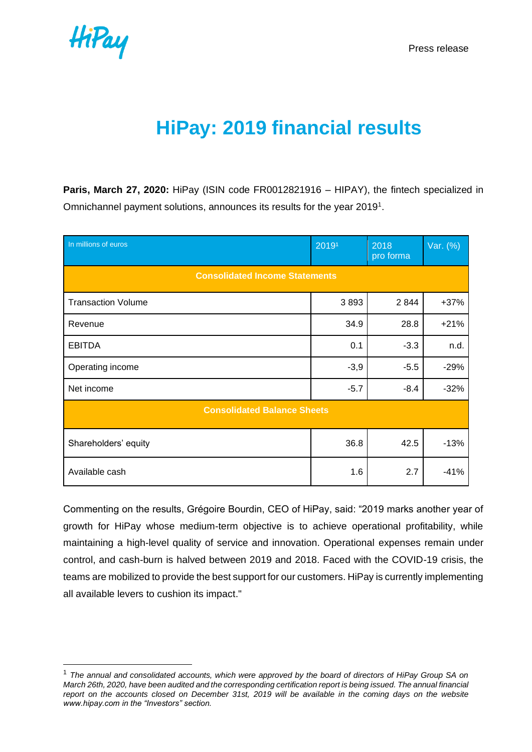

# **HiPay: 2019 financial results**

**Paris, March 27, 2020:** HiPay (ISIN code FR0012821916 – HIPAY), the fintech specialized in Omnichannel payment solutions, announces its results for the year 2019<sup>1</sup>.

| In millions of euros                  | 20191  | 2018<br>pro forma | Var. (%) |  |  |
|---------------------------------------|--------|-------------------|----------|--|--|
| <b>Consolidated Income Statements</b> |        |                   |          |  |  |
| <b>Transaction Volume</b>             | 3893   | 2844              | $+37%$   |  |  |
| Revenue                               | 34.9   | 28.8              | $+21%$   |  |  |
| <b>EBITDA</b>                         | 0.1    | $-3.3$            | n.d.     |  |  |
| Operating income                      | $-3,9$ | $-5.5$            | $-29%$   |  |  |
| Net income                            | $-5.7$ | $-8.4$            | $-32%$   |  |  |
| <b>Consolidated Balance Sheets</b>    |        |                   |          |  |  |
| Shareholders' equity                  | 36.8   | 42.5              | $-13%$   |  |  |
| Available cash                        | 1.6    | 2.7               | $-41%$   |  |  |

Commenting on the results, Grégoire Bourdin, CEO of HiPay, said: "2019 marks another year of growth for HiPay whose medium-term objective is to achieve operational profitability, while maintaining a high-level quality of service and innovation. Operational expenses remain under control, and cash-burn is halved between 2019 and 2018. Faced with the COVID-19 crisis, the teams are mobilized to provide the best support for our customers. HiPay is currently implementing all available levers to cushion its impact."

<sup>1</sup> *The annual and consolidated accounts, which were approved by the board of directors of HiPay Group SA on March 26th, 2020, have been audited and the corresponding certification report is being issued. The annual financial report on the accounts closed on December 31st, 2019 will be available in the coming days on the website www.hipay.com in the "Investors" section.*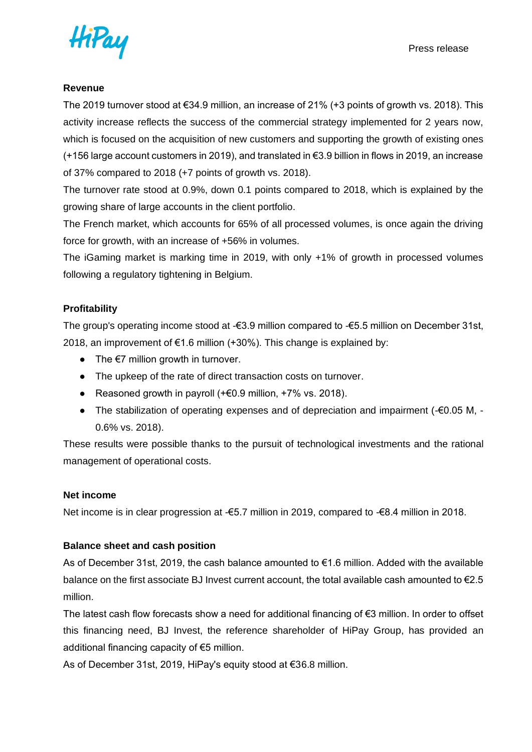

### **Revenue**

The 2019 turnover stood at €34.9 million, an increase of 21% (+3 points of growth vs. 2018). This activity increase reflects the success of the commercial strategy implemented for 2 years now, which is focused on the acquisition of new customers and supporting the growth of existing ones (+156 large account customers in 2019), and translated in €3.9 billion in flows in 2019, an increase of 37% compared to 2018 (+7 points of growth vs. 2018).

The turnover rate stood at 0.9%, down 0.1 points compared to 2018, which is explained by the growing share of large accounts in the client portfolio.

The French market, which accounts for 65% of all processed volumes, is once again the driving force for growth, with an increase of +56% in volumes.

The iGaming market is marking time in 2019, with only +1% of growth in processed volumes following a regulatory tightening in Belgium.

### **Profitability**

The group's operating income stood at -€3.9 million compared to -€5.5 million on December 31st, 2018, an improvement of  $\epsilon$ 1.6 million (+30%). This change is explained by:

- $\bullet$  The  $\epsilon$ 7 million growth in turnover.
- The upkeep of the rate of direct transaction costs on turnover.
- $\bullet$  Reasoned growth in payroll (+ €0.9 million, +7% vs. 2018).
- The stabilization of operating expenses and of depreciation and impairment  $(-60.05 \text{ M}, -10.05 \text{ M})$ 0.6% vs. 2018).

These results were possible thanks to the pursuit of technological investments and the rational management of operational costs.

### **Net income**

Net income is in clear progression at -€5.7 million in 2019, compared to -€8.4 million in 2018.

### **Balance sheet and cash position**

As of December 31st, 2019, the cash balance amounted to €1.6 million. Added with the available balance on the first associate BJ Invest current account, the total available cash amounted to  $\epsilon$ 2.5 million.

The latest cash flow forecasts show a need for additional financing of €3 million. In order to offset this financing need, BJ Invest, the reference shareholder of HiPay Group, has provided an additional financing capacity of €5 million.

As of December 31st, 2019, HiPay's equity stood at €36.8 million.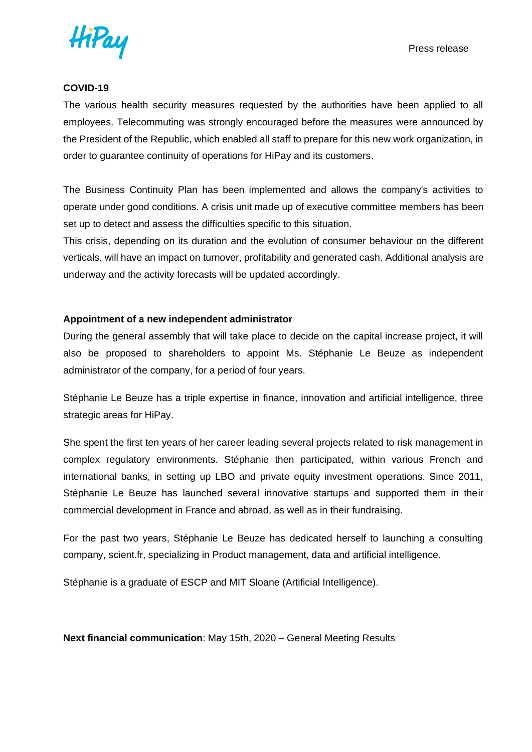

### **COVID-19**

The various health security measures requested by the authorities have been applied to all employees. Telecommuting was strongly encouraged before the measures were announced by the President of the Republic, which enabled all staff to prepare for this new work organization, in order to guarantee continuity of operations for HiPay and its customers.

The Business Continuity Plan has been implemented and allows the company's activities to operate under good conditions. A crisis unit made up of executive committee members has been set up to detect and assess the difficulties specific to this situation.

This crisis, depending on its duration and the evolution of consumer behaviour on the different verticals, will have an impact on turnover, profitability and generated cash. Additional analysis are underway and the activity forecasts will be updated accordingly.

### **Appointment of a new independent administrator**

During the general assembly that will take place to decide on the capital increase project, it will also be proposed to shareholders to appoint Ms. Stéphanie Le Beuze as independent administrator of the company, for a period of four years.

Stéphanie Le Beuze has a triple expertise in finance, innovation and artificial intelligence, three strategic areas for HiPay.

She spent the first ten years of her career leading several projects related to risk management in complex regulatory environments. Stéphanie then participated, within various French and international banks, in setting up LBO and private equity investment operations. Since 2011, Stéphanie Le Beuze has launched several innovative startups and supported them in their commercial development in France and abroad, as well as in their fundraising.

For the past two years, Stéphanie Le Beuze has dedicated herself to launching a consulting company, scient.fr, specializing in Product management, data and artificial intelligence.

Stéphanie is a graduate of ESCP and MIT Sloane (Artificial Intelligence).

**Next financial communication**: May 15th, 2020 – General Meeting Results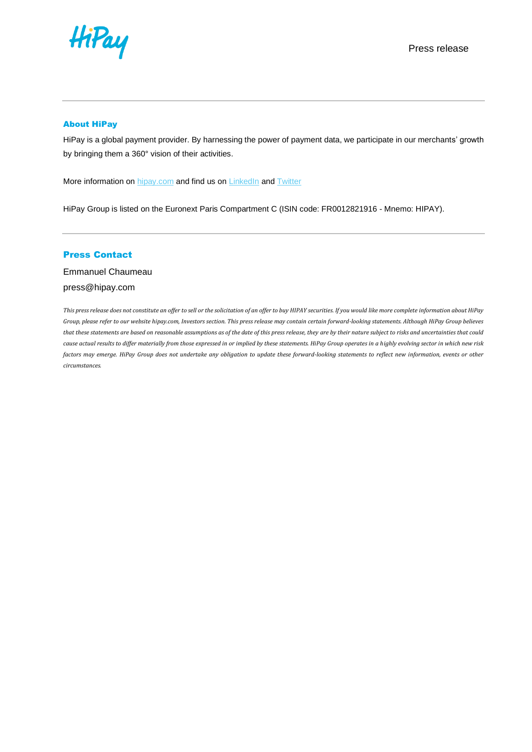

#### About HiPay

HiPay is a global payment provider. By harnessing the power of payment data, we participate in our merchants' growth by bringing them a 360° vision of their activities.

More information on [hipay.com](https://hipay.com/) and find us on [LinkedIn](https://fr.linkedin.com/company/hipay) and [Twitter](https://twitter.com/hipay)

HiPay Group is listed on the Euronext Paris Compartment C (ISIN code: FR0012821916 - Mnemo: HIPAY).

#### Press Contact

Emmanuel Chaumeau

#### press@hipay.com

*This press release does not constitute an offer to sell or the solicitation of an offer to buy HIPAY securities. If you would like more complete information about HiPay Group, please refer to our website hipay.com, Investors section. This press release may contain certain forward-looking statements. Although HiPay Group believes that these statements are based on reasonable assumptions as of the date of this press release, they are by their nature subject to risks and uncertainties that could cause actual results to differ materially from those expressed in or implied by these statements. HiPay Group operates in a highly evolving sector in which new risk factors may emerge. HiPay Group does not undertake any obligation to update these forward-looking statements to reflect new information, events or other circumstances.*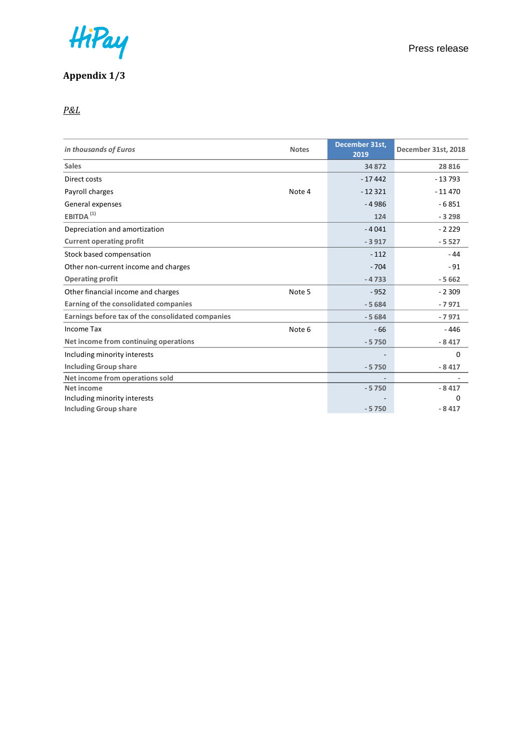

# **Appendix 1/3**

*P&L*

| in thousands of Euros                             | <b>Notes</b> | December 31st,<br>2019 | December 31st, 2018 |
|---------------------------------------------------|--------------|------------------------|---------------------|
| <b>Sales</b>                                      |              | 34 872                 | 28 8 16             |
| Direct costs                                      |              | $-17442$               | $-13793$            |
| Payroll charges                                   | Note 4       | $-12321$               | $-11470$            |
| General expenses                                  |              | $-4986$                | $-6851$             |
| EBITDA <sup>(1)</sup>                             |              | 124                    | $-3298$             |
| Depreciation and amortization                     |              | $-4041$                | $-2229$             |
| <b>Current operating profit</b>                   |              | $-3917$                | $-5527$             |
| Stock based compensation                          |              | $-112$                 | $-44$               |
| Other non-current income and charges              |              | $-704$                 | $-91$               |
| <b>Operating profit</b>                           |              | $-4733$                | $-5662$             |
| Other financial income and charges                | Note 5       | $-952$                 | $-2309$             |
| Earning of the consolidated companies             |              | $-5684$                | $-7971$             |
| Earnings before tax of the consolidated companies |              | $-5684$                | $-7971$             |
| Income Tax                                        | Note 6       | - 66                   | $-446$              |
| Net income from continuing operations             |              | $-5750$                | $-8417$             |
| Including minority interests                      |              |                        | $\Omega$            |
| <b>Including Group share</b>                      |              | $-5750$                | $-8417$             |
| Net income from operations sold                   |              |                        |                     |
| Net income                                        |              | $-5750$                | $-8417$             |
| Including minority interests                      |              |                        | 0                   |
| <b>Including Group share</b>                      |              | $-5750$                | $-8417$             |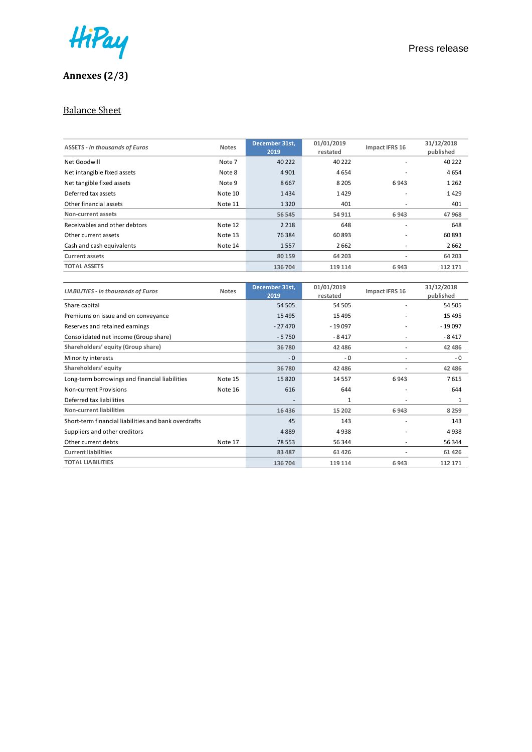

# **Annexes (2/3)**

### Balance Sheet

| <b>ASSETS - in thousands of Euros</b> | <b>Notes</b> | December 31st,<br>2019 | 01/01/2019<br>restated | Impact IFRS 16           | 31/12/2018<br>published |
|---------------------------------------|--------------|------------------------|------------------------|--------------------------|-------------------------|
| Net Goodwill                          | Note 7       | 40 222                 | 40 2 22                |                          | 40 2 22                 |
| Net intangible fixed assets           | Note 8       | 4 9 0 1                | 4654                   |                          | 4654                    |
| Net tangible fixed assets             | Note 9       | 8667                   | 8 2 0 5                | 6943                     | 1 2 6 2                 |
| Deferred tax assets                   | Note 10      | 1434                   | 1429                   | $\overline{\phantom{a}}$ | 1429                    |
| Other financial assets                | Note 11      | 1320                   | 401                    | ٠                        | 401                     |
| Non-current assets                    |              | 56 545                 | 54 911                 | 6943                     | 47968                   |
| Receivables and other debtors         | Note 12      | 2 2 1 8                | 648                    | $\overline{\phantom{a}}$ | 648                     |
| Other current assets                  | Note 13      | 76 384                 | 60893                  | ٠                        | 60893                   |
| Cash and cash equivalents             | Note 14      | 1557                   | 2662                   | ۰                        | 2662                    |
| <b>Current assets</b>                 |              | 80 159                 | 64 203                 | $\overline{\phantom{a}}$ | 64 203                  |
| <b>TOTAL ASSETS</b>                   |              | 136 704                | 119 114                | 6943                     | 112 171                 |
|                                       |              |                        |                        |                          |                         |

| <b>LIABILITIES - in thousands of Euros</b>           | <b>Notes</b> | December 31st,<br>2019 | 01/01/2019<br>restated | Impact IFRS 16           | 31/12/2018<br>published |
|------------------------------------------------------|--------------|------------------------|------------------------|--------------------------|-------------------------|
| Share capital                                        |              | 54 505                 | 54 505                 |                          | 54 505                  |
| Premiums on issue and on conveyance                  |              | 15 4 95                | 15 4 95                |                          | 15 4 95                 |
| Reserves and retained earnings                       |              | $-27470$               | $-19097$               | ۰                        | - 19 097                |
| Consolidated net income (Group share)                |              | $-5750$                | $-8417$                | ۰                        | $-8417$                 |
| Shareholders' equity (Group share)                   |              | 36780                  | 42 4 8 6               | $\overline{\phantom{a}}$ | 42 4 8 6                |
| Minority interests                                   |              | $-0$                   | - 0                    | ٠                        | - 0                     |
| Shareholders' equity                                 |              | 36 780                 | 42 48 6                |                          | 42 48 6                 |
| Long-term borrowings and financial liabilities       | Note 15      | 15820                  | 14 5 57                | 6943                     | 7615                    |
| <b>Non-current Provisions</b>                        | Note 16      | 616                    | 644                    |                          | 644                     |
| Deferred tax liabilities                             |              |                        | $\mathbf{1}$           | ٠                        | 1                       |
| <b>Non-current liabilities</b>                       |              | 16 4 36                | 15 202                 | 6943                     | 8 2 5 9                 |
| Short-term financial liabilities and bank overdrafts |              | 45                     | 143                    |                          | 143                     |
| Suppliers and other creditors                        |              | 4889                   | 4938                   |                          | 4938                    |
| Other current debts                                  | Note 17      | 78 5 53                | 56 344                 | ٠                        | 56 344                  |
| <b>Current liabilities</b>                           |              | 83 4 87                | 61 4 26                | ۰                        | 61 4 26                 |
| <b>TOTAL LIABILITIES</b>                             |              | 136 704                | 119 114                | 6943                     | 112 171                 |